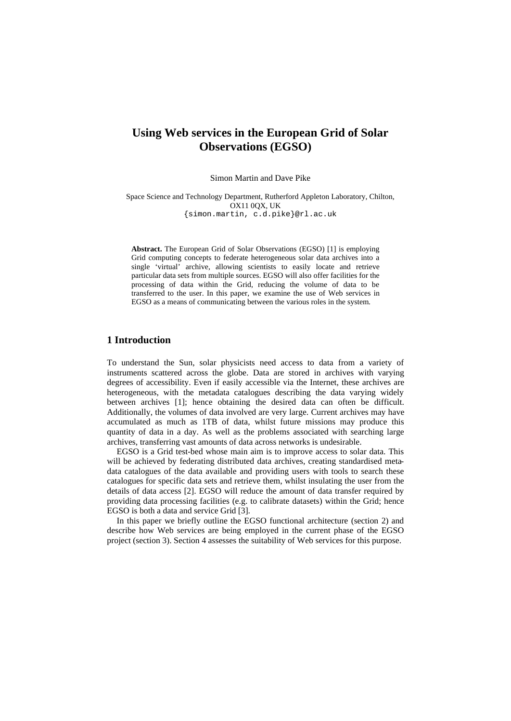# **Using Web services in the European Grid of Solar Observations (EGSO)**

Simon Martin and Dave Pike

Space Science and Technology Department, Rutherford Appleton Laboratory, Chilton, OX11 0QX, UK {simon.martin, c.d.pike}@rl.ac.uk

**Abstract.** The European Grid of Solar Observations (EGSO) [1] is employing Grid computing concepts to federate heterogeneous solar data archives into a single 'virtual' archive, allowing scientists to easily locate and retrieve particular data sets from multiple sources. EGSO will also offer facilities for the processing of data within the Grid, reducing the volume of data to be transferred to the user. In this paper, we examine the use of Web services in EGSO as a means of communicating between the various roles in the system.

# **1 Introduction**

To understand the Sun, solar physicists need access to data from a variety of instruments scattered across the globe. Data are stored in archives with varying degrees of accessibility. Even if easily accessible via the Internet, these archives are heterogeneous, with the metadata catalogues describing the data varying widely between archives [1]; hence obtaining the desired data can often be difficult. Additionally, the volumes of data involved are very large. Current archives may have accumulated as much as 1TB of data, whilst future missions may produce this quantity of data in a day. As well as the problems associated with searching large archives, transferring vast amounts of data across networks is undesirable.

EGSO is a Grid test-bed whose main aim is to improve access to solar data. This will be achieved by federating distributed data archives, creating standardised metadata catalogues of the data available and providing users with tools to search these catalogues for specific data sets and retrieve them, whilst insulating the user from the details of data access [2]. EGSO will reduce the amount of data transfer required by providing data processing facilities (e.g. to calibrate datasets) within the Grid; hence EGSO is both a data and service Grid [3].

In this paper we briefly outline the EGSO functional architecture (section 2) and describe how Web services are being employed in the current phase of the EGSO project (section 3). Section 4 assesses the suitability of Web services for this purpose.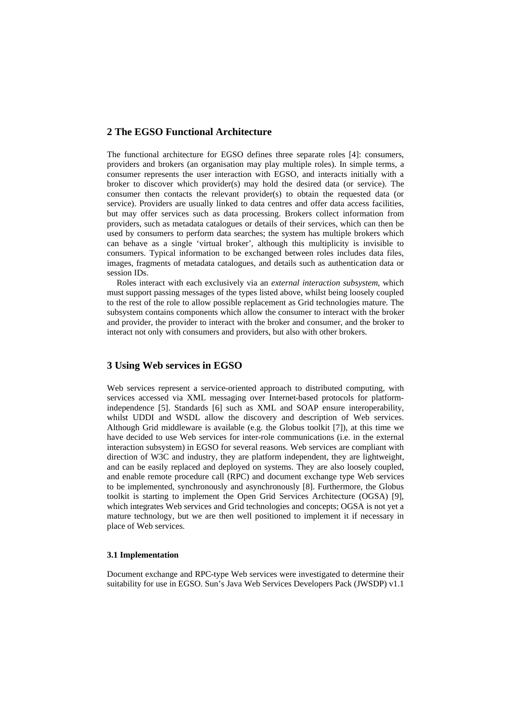# **2 The EGSO Functional Architecture**

The functional architecture for EGSO defines three separate roles [4]: consumers, providers and brokers (an organisation may play multiple roles). In simple terms, a consumer represents the user interaction with EGSO, and interacts initially with a broker to discover which provider(s) may hold the desired data (or service). The consumer then contacts the relevant provider(s) to obtain the requested data (or service). Providers are usually linked to data centres and offer data access facilities, but may offer services such as data processing. Brokers collect information from providers, such as metadata catalogues or details of their services, which can then be used by consumers to perform data searches; the system has multiple brokers which can behave as a single 'virtual broker', although this multiplicity is invisible to consumers. Typical information to be exchanged between roles includes data files, images, fragments of metadata catalogues, and details such as authentication data or session IDs.

Roles interact with each exclusively via an *external interaction subsystem*, which must support passing messages of the types listed above, whilst being loosely coupled to the rest of the role to allow possible replacement as Grid technologies mature. The subsystem contains components which allow the consumer to interact with the broker and provider, the provider to interact with the broker and consumer, and the broker to interact not only with consumers and providers, but also with other brokers.

# **3 Using Web services in EGSO**

Web services represent a service-oriented approach to distributed computing, with services accessed via XML messaging over Internet-based protocols for platformindependence [5]. Standards [6] such as XML and SOAP ensure interoperability, whilst UDDI and WSDL allow the discovery and description of Web services. Although Grid middleware is available (e.g. the Globus toolkit [7]), at this time we have decided to use Web services for inter-role communications (i.e. in the external interaction subsystem) in EGSO for several reasons. Web services are compliant with direction of W3C and industry, they are platform independent, they are lightweight, and can be easily replaced and deployed on systems. They are also loosely coupled, and enable remote procedure call (RPC) and document exchange type Web services to be implemented, synchronously and asynchronously [8]. Furthermore, the Globus toolkit is starting to implement the Open Grid Services Architecture (OGSA) [9], which integrates Web services and Grid technologies and concepts; OGSA is not yet a mature technology, but we are then well positioned to implement it if necessary in place of Web services.

#### **3.1 Implementation**

Document exchange and RPC-type Web services were investigated to determine their suitability for use in EGSO. Sun's Java Web Services Developers Pack (JWSDP) v1.1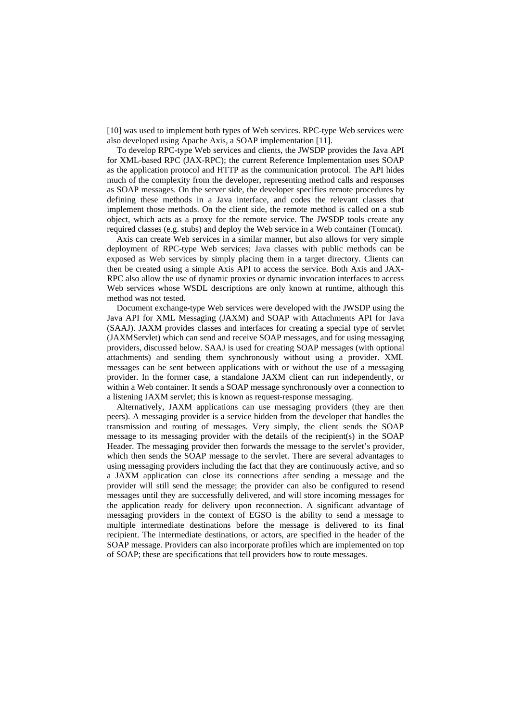[10] was used to implement both types of Web services. RPC-type Web services were also developed using Apache Axis, a SOAP implementation [11].

To develop RPC-type Web services and clients, the JWSDP provides the Java API for XML-based RPC (JAX-RPC); the current Reference Implementation uses SOAP as the application protocol and HTTP as the communication protocol. The API hides much of the complexity from the developer, representing method calls and responses as SOAP messages. On the server side, the developer specifies remote procedures by defining these methods in a Java interface, and codes the relevant classes that implement those methods. On the client side, the remote method is called on a stub object, which acts as a proxy for the remote service. The JWSDP tools create any required classes (e.g. stubs) and deploy the Web service in a Web container (Tomcat).

Axis can create Web services in a similar manner, but also allows for very simple deployment of RPC-type Web services; Java classes with public methods can be exposed as Web services by simply placing them in a target directory. Clients can then be created using a simple Axis API to access the service. Both Axis and JAX-RPC also allow the use of dynamic proxies or dynamic invocation interfaces to access Web services whose WSDL descriptions are only known at runtime, although this method was not tested.

Document exchange-type Web services were developed with the JWSDP using the Java API for XML Messaging (JAXM) and SOAP with Attachments API for Java (SAAJ). JAXM provides classes and interfaces for creating a special type of servlet (JAXMServlet) which can send and receive SOAP messages, and for using messaging providers, discussed below. SAAJ is used for creating SOAP messages (with optional attachments) and sending them synchronously without using a provider. XML messages can be sent between applications with or without the use of a messaging provider. In the former case, a standalone JAXM client can run independently, or within a Web container. It sends a SOAP message synchronously over a connection to a listening JAXM servlet; this is known as request-response messaging.

Alternatively, JAXM applications can use messaging providers (they are then peers). A messaging provider is a service hidden from the developer that handles the transmission and routing of messages. Very simply, the client sends the SOAP message to its messaging provider with the details of the recipient(s) in the SOAP Header. The messaging provider then forwards the message to the servlet's provider, which then sends the SOAP message to the servlet. There are several advantages to using messaging providers including the fact that they are continuously active, and so a JAXM application can close its connections after sending a message and the provider will still send the message; the provider can also be configured to resend messages until they are successfully delivered, and will store incoming messages for the application ready for delivery upon reconnection. A significant advantage of messaging providers in the context of EGSO is the ability to send a message to multiple intermediate destinations before the message is delivered to its final recipient. The intermediate destinations, or actors, are specified in the header of the SOAP message. Providers can also incorporate profiles which are implemented on top of SOAP; these are specifications that tell providers how to route messages.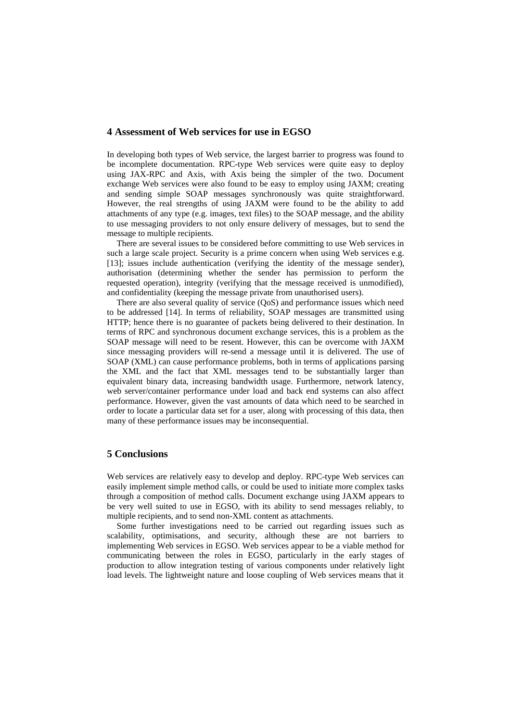### **4 Assessment of Web services for use in EGSO**

In developing both types of Web service, the largest barrier to progress was found to be incomplete documentation. RPC-type Web services were quite easy to deploy using JAX-RPC and Axis, with Axis being the simpler of the two. Document exchange Web services were also found to be easy to employ using JAXM; creating and sending simple SOAP messages synchronously was quite straightforward. However, the real strengths of using JAXM were found to be the ability to add attachments of any type (e.g. images, text files) to the SOAP message, and the ability to use messaging providers to not only ensure delivery of messages, but to send the message to multiple recipients.

There are several issues to be considered before committing to use Web services in such a large scale project. Security is a prime concern when using Web services e.g. [13]; issues include authentication (verifying the identity of the message sender), authorisation (determining whether the sender has permission to perform the requested operation), integrity (verifying that the message received is unmodified), and confidentiality (keeping the message private from unauthorised users).

There are also several quality of service (QoS) and performance issues which need to be addressed [14]. In terms of reliability, SOAP messages are transmitted using HTTP; hence there is no guarantee of packets being delivered to their destination. In terms of RPC and synchronous document exchange services, this is a problem as the SOAP message will need to be resent. However, this can be overcome with JAXM since messaging providers will re-send a message until it is delivered. The use of SOAP (XML) can cause performance problems, both in terms of applications parsing the XML and the fact that XML messages tend to be substantially larger than equivalent binary data, increasing bandwidth usage. Furthermore, network latency, web server/container performance under load and back end systems can also affect performance. However, given the vast amounts of data which need to be searched in order to locate a particular data set for a user, along with processing of this data, then many of these performance issues may be inconsequential.

## **5 Conclusions**

Web services are relatively easy to develop and deploy. RPC-type Web services can easily implement simple method calls, or could be used to initiate more complex tasks through a composition of method calls. Document exchange using JAXM appears to be very well suited to use in EGSO, with its ability to send messages reliably, to multiple recipients, and to send non-XML content as attachments.

Some further investigations need to be carried out regarding issues such as scalability, optimisations, and security, although these are not barriers to implementing Web services in EGSO. Web services appear to be a viable method for communicating between the roles in EGSO, particularly in the early stages of production to allow integration testing of various components under relatively light load levels. The lightweight nature and loose coupling of Web services means that it